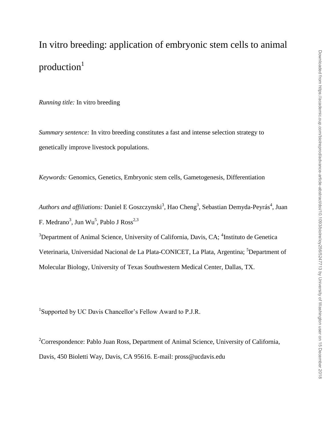# In vitro breeding: application of embryonic stem cells to animal production<sup>1</sup>

*Running title:* In vitro breeding

*Summary sentence:* In vitro breeding constitutes a fast and intense selection strategy to genetically improve livestock populations.

*Keywords:* Genomics, Genetics, Embryonic stem cells, Gametogenesis, Differentiation

Authors and affiliations: Daniel E Goszczynski<sup>3</sup>, Hao Cheng<sup>3</sup>, Sebastian Demyda-Peyrás<sup>4</sup>, Juan F. Medrano $^3$ , Jun Wu $^5$ , Pablo J Ross $^{2,3}$ 

 $3$ Department of Animal Science, University of California, Davis, CA;  $4$ Instituto de Genetica Veterinaria, Universidad Nacional de La Plata-CONICET, La Plata, Argentina; <sup>5</sup>Department of Molecular Biology, University of Texas Southwestern Medical Center, Dallas, TX.

<sup>1</sup>Supported by UC Davis Chancellor's Fellow Award to P.J.R.

<sup>2</sup>Correspondence: Pablo Juan Ross, Department of Animal Science, University of California, Davis, 450 Bioletti Way, Davis, CA 95616. E-mail: pross@ucdavis.edu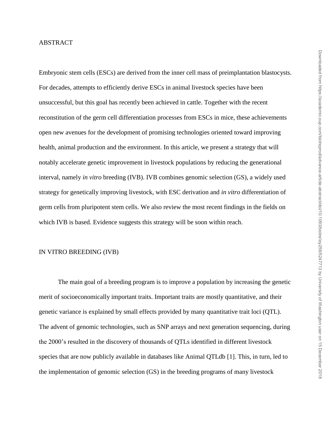# ABSTRACT

Embryonic stem cells (ESCs) are derived from the inner cell mass of preimplantation blastocysts. For decades, attempts to efficiently derive ESCs in animal livestock species have been unsuccessful, but this goal has recently been achieved in cattle. Together with the recent reconstitution of the germ cell differentiation processes from ESCs in mice, these achievements open new avenues for the development of promising technologies oriented toward improving health, animal production and the environment. In this article, we present a strategy that will notably accelerate genetic improvement in livestock populations by reducing the generational interval, namely *in vitro* breeding (IVB). IVB combines genomic selection (GS), a widely used strategy for genetically improving livestock, with ESC derivation and *in vitro* differentiation of germ cells from pluripotent stem cells. We also review the most recent findings in the fields on which IVB is based. Evidence suggests this strategy will be soon within reach.

## IN VITRO BREEDING (IVB)

The main goal of a breeding program is to improve a population by increasing the genetic merit of socioeconomically important traits. Important traits are mostly quantitative, and their genetic variance is explained by small effects provided by many quantitative trait loci (QTL). The advent of genomic technologies, such as SNP arrays and next generation sequencing, during the 2000's resulted in the discovery of thousands of QTLs identified in different livestock species that are now publicly available in databases like Animal QTLdb [1]. This, in turn, led to the implementation of genomic selection (GS) in the breeding programs of many livestock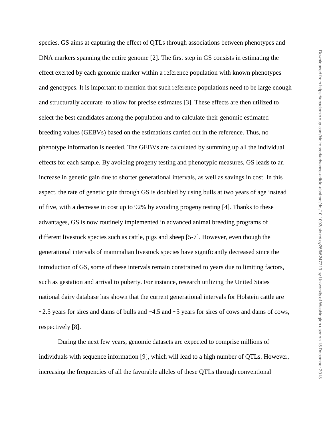species. GS aims at capturing the effect of QTLs through associations between phenotypes and DNA markers spanning the entire genome [2]. The first step in GS consists in estimating the effect exerted by each genomic marker within a reference population with known phenotypes and genotypes. It is important to mention that such reference populations need to be large enough and structurally accurate to allow for precise estimates [3]. These effects are then utilized to select the best candidates among the population and to calculate their genomic estimated breeding values (GEBVs) based on the estimations carried out in the reference. Thus, no phenotype information is needed. The GEBVs are calculated by summing up all the individual effects for each sample. By avoiding progeny testing and phenotypic measures, GS leads to an increase in genetic gain due to shorter generational intervals, as well as savings in cost. In this aspect, the rate of genetic gain through GS is doubled by using bulls at two years of age instead of five, with a decrease in cost up to 92% by avoiding progeny testing [4]. Thanks to these advantages, GS is now routinely implemented in advanced animal breeding programs of different livestock species such as cattle, pigs and sheep [5-7]. However, even though the generational intervals of mammalian livestock species have significantly decreased since the introduction of GS, some of these intervals remain constrained to years due to limiting factors, such as gestation and arrival to puberty. For instance, research utilizing the United States national dairy database has shown that the current generational intervals for Holstein cattle are  $\sim$  2.5 years for sires and dams of bulls and  $\sim$  4.5 and  $\sim$  5 years for sires of cows and dams of cows, respectively [8].

During the next few years, genomic datasets are expected to comprise millions of individuals with sequence information [9], which will lead to a high number of QTLs. However, increasing the frequencies of all the favorable alleles of these QTLs through conventional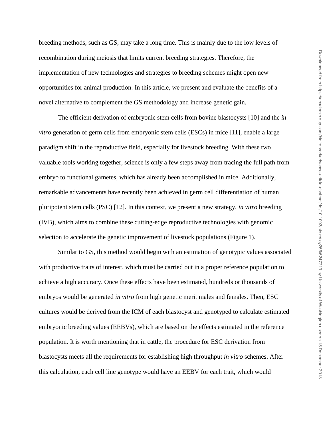breeding methods, such as GS, may take a long time. This is mainly due to the low levels of recombination during meiosis that limits current breeding strategies. Therefore, the implementation of new technologies and strategies to breeding schemes might open new opportunities for animal production. In this article, we present and evaluate the benefits of a novel alternative to complement the GS methodology and increase genetic gain.

The efficient derivation of embryonic stem cells from bovine blastocysts [10] and the *in vitro* generation of germ cells from embryonic stem cells (ESCs) in mice [11], enable a large paradigm shift in the reproductive field, especially for livestock breeding. With these two valuable tools working together, science is only a few steps away from tracing the full path from embryo to functional gametes, which has already been accomplished in mice. Additionally, remarkable advancements have recently been achieved in germ cell differentiation of human pluripotent stem cells (PSC) [12]. In this context, we present a new strategy, *in vitro* breeding (IVB), which aims to combine these cutting-edge reproductive technologies with genomic selection to accelerate the genetic improvement of livestock populations (Figure 1).

Similar to GS, this method would begin with an estimation of genotypic values associated with productive traits of interest, which must be carried out in a proper reference population to achieve a high accuracy. Once these effects have been estimated, hundreds or thousands of embryos would be generated *in vitro* from high genetic merit males and females. Then, ESC cultures would be derived from the ICM of each blastocyst and genotyped to calculate estimated embryonic breeding values (EEBVs), which are based on the effects estimated in the reference population. It is worth mentioning that in cattle, the procedure for ESC derivation from blastocysts meets all the requirements for establishing high throughput *in vitro* schemes. After this calculation, each cell line genotype would have an EEBV for each trait, which would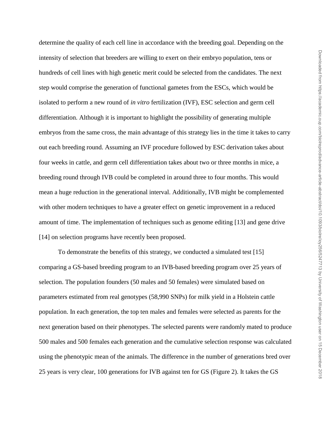determine the quality of each cell line in accordance with the breeding goal. Depending on the intensity of selection that breeders are willing to exert on their embryo population, tens or hundreds of cell lines with high genetic merit could be selected from the candidates. The next step would comprise the generation of functional gametes from the ESCs, which would be isolated to perform a new round of *in vitro* fertilization (IVF), ESC selection and germ cell differentiation. Although it is important to highlight the possibility of generating multiple embryos from the same cross, the main advantage of this strategy lies in the time it takes to carry out each breeding round. Assuming an IVF procedure followed by ESC derivation takes about four weeks in cattle, and germ cell differentiation takes about two or three months in mice, a breeding round through IVB could be completed in around three to four months. This would mean a huge reduction in the generational interval. Additionally, IVB might be complemented with other modern techniques to have a greater effect on genetic improvement in a reduced amount of time. The implementation of techniques such as genome editing [13] and gene drive [14] on selection programs have recently been proposed.

To demonstrate the benefits of this strategy, we conducted a simulated test [15] comparing a GS-based breeding program to an IVB-based breeding program over 25 years of selection. The population founders (50 males and 50 females) were simulated based on parameters estimated from real genotypes (58,990 SNPs) for milk yield in a Holstein cattle population. In each generation, the top ten males and females were selected as parents for the next generation based on their phenotypes. The selected parents were randomly mated to produce 500 males and 500 females each generation and the cumulative selection response was calculated using the phenotypic mean of the animals. The difference in the number of generations bred over 25 years is very clear, 100 generations for IVB against ten for GS (Figure 2). It takes the GS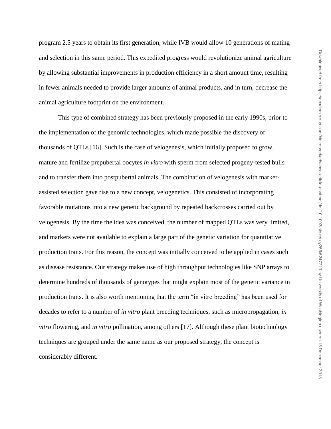program 2.5 years to obtain its first generation, while IVB would allow 10 generations of mating and selection in this same period. This expedited progress would revolutionize animal agriculture by allowing substantial improvements in production efficiency in a short amount time, resulting in fewer animals needed to provide larger amounts of animal products, and in turn, decrease the animal agriculture footprint on the environment.

This type of combined strategy has been previously proposed in the early 1990s, prior to the implementation of the genomic technologies, which made possible the discovery of thousands of QTLs [16]. Such is the case of velogenesis, which initially proposed to grow, mature and fertilize prepubertal oocytes *in vitro* with sperm from selected progeny-tested bulls and to transfer them into postpubertal animals. The combination of velogenesis with markerassisted selection gave rise to a new concept, velogenetics. This consisted of incorporating favorable mutations into a new genetic background by repeated backcrosses carried out by velogenesis. By the time the idea was conceived, the number of mapped QTLs was very limited, and markers were not available to explain a large part of the genetic variation for quantitative production traits. For this reason, the concept was initially conceived to be applied in cases such as disease resistance. Our strategy makes use of high throughput technologies like SNP arrays to determine hundreds of thousands of genotypes that might explain most of the genetic variance in production traits. It is also worth mentioning that the term "in vitro breeding" has been used for decades to refer to a number of *in vitro* plant breeding techniques, such as micropropagation, *in vitro* flowering, and *in vitro* pollination, among others [17]. Although these plant biotechnology techniques are grouped under the same name as our proposed strategy, the concept is considerably different.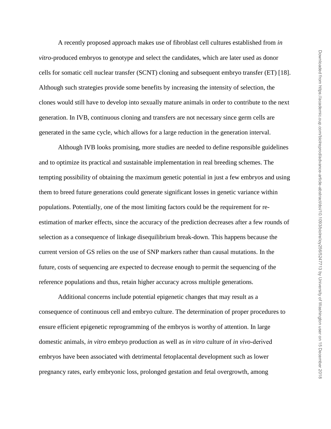A recently proposed approach makes use of fibroblast cell cultures established from *in vitro*-produced embryos to genotype and select the candidates, which are later used as donor cells for somatic cell nuclear transfer (SCNT) cloning and subsequent embryo transfer (ET) [18]. Although such strategies provide some benefits by increasing the intensity of selection, the clones would still have to develop into sexually mature animals in order to contribute to the next generation. In IVB, continuous cloning and transfers are not necessary since germ cells are generated in the same cycle, which allows for a large reduction in the generation interval.

Although IVB looks promising, more studies are needed to define responsible guidelines and to optimize its practical and sustainable implementation in real breeding schemes. The tempting possibility of obtaining the maximum genetic potential in just a few embryos and using them to breed future generations could generate significant losses in genetic variance within populations. Potentially, one of the most limiting factors could be the requirement for reestimation of marker effects, since the accuracy of the prediction decreases after a few rounds of selection as a consequence of linkage disequilibrium break-down. This happens because the current version of GS relies on the use of SNP markers rather than causal mutations. In the future, costs of sequencing are expected to decrease enough to permit the sequencing of the reference populations and thus, retain higher accuracy across multiple generations.

Additional concerns include potential epigenetic changes that may result as a consequence of continuous cell and embryo culture. The determination of proper procedures to ensure efficient epigenetic reprogramming of the embryos is worthy of attention. In large domestic animals, *in vitro* embryo production as well as *in vitro* culture of *in vivo*‐derived embryos have been associated with detrimental fetoplacental development such as lower pregnancy rates, early embryonic loss, prolonged gestation and fetal overgrowth, among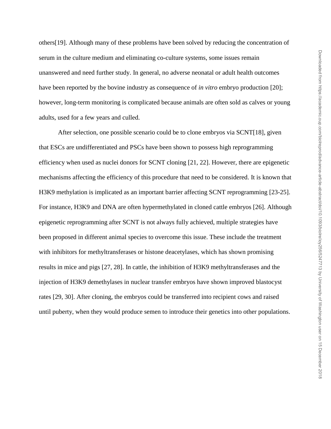Downloaded from https://academic.oup.com/biolreprod/advance-article-abstract/doi/10.1093/biolre/ioy256/5247713 by University of Washington user on 15 December 2018 Downloaded from https://academic.oup.com/biolreprod/advance-article-abstract/doi/10.1093/biolre/ioy256/5247713 by University of Washington user on 15 December 2018

others[19]. Although many of these problems have been solved by reducing the concentration of serum in the culture medium and eliminating co-culture systems, some issues remain unanswered and need further study. In general, no adverse neonatal or adult health outcomes have been reported by the bovine industry as consequence of *in vitro* embryo production [20]; however, long-term monitoring is complicated because animals are often sold as calves or young adults, used for a few years and culled.

After selection, one possible scenario could be to clone embryos via SCNT[18], given that ESCs are undifferentiated and PSCs have been shown to possess high reprogramming efficiency when used as nuclei donors for SCNT cloning [21, 22]. However, there are epigenetic mechanisms affecting the efficiency of this procedure that need to be considered. It is known that H3K9 methylation is implicated as an important barrier affecting SCNT reprogramming [23-25]. For instance, H3K9 and DNA are often hypermethylated in cloned cattle embryos [26]. Although epigenetic reprogramming after SCNT is not always fully achieved, multiple strategies have been proposed in different animal species to overcome this issue. These include the treatment with inhibitors for methyltransferases or histone deacetylases, which has shown promising results in mice and pigs [27, 28]. In cattle, the inhibition of H3K9 methyltransferases and the injection of H3K9 demethylases in nuclear transfer embryos have shown improved blastocyst rates [29, 30]. After cloning, the embryos could be transferred into recipient cows and raised until puberty, when they would produce semen to introduce their genetics into other populations.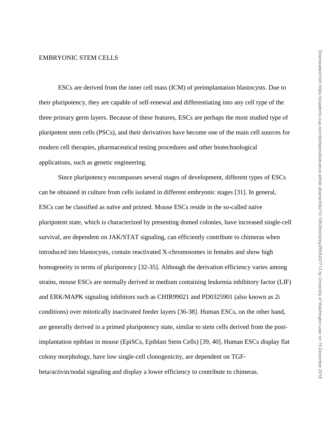#### EMBRYONIC STEM CELLS

ESCs are derived from the inner cell mass (ICM) of preimplantation blastocysts. Due to their pluripotency, they are capable of self-renewal and differentiating into any cell type of the three primary germ layers. Because of these features, ESCs are perhaps the most studied type of pluripotent stem cells (PSCs), and their derivatives have become one of the main cell sources for modern cell therapies, pharmaceutical testing procedures and other biotechnological applications, such as genetic engineering.

Since pluripotency encompasses several stages of development, different types of ESCs can be obtained in culture from cells isolated in different embryonic stages [31]. In general, ESCs can be classified as naïve and primed. Mouse ESCs reside in the so-called naïve pluripotent state, which is characterized by presenting domed colonies, have increased single-cell survival, are dependent on JAK/STAT signaling, can efficiently contribute to chimeras when introduced into blastocysts, contain reactivated X-chromosomes in females and show high homogeneity in terms of pluripotency [32-35]. Although the derivation efficiency varies among strains, mouse ESCs are normally derived in medium containing leukemia inhibitory factor (LIF) and ERK/MAPK signaling inhibitors such as CHIR99021 and PD0325901 (also known as 2i conditions) over mitotically inactivated feeder layers [36-38]. Human ESCs, on the other hand, are generally derived in a primed pluripotency state, similar to stem cells derived from the postimplantation epiblast in mouse (EpiSCs, Epiblast Stem Cells) [39, 40]. Human ESCs display flat colony morphology, have low single-cell clonogenicity, are dependent on TGFbeta/activin/nodal signaling and display a lower efficiency to contribute to chimeras.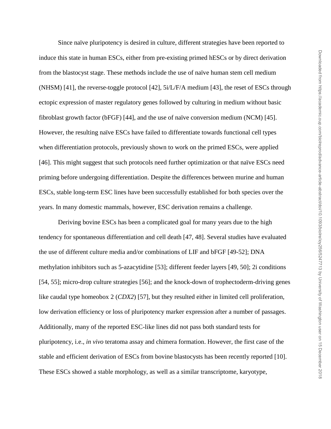Since naïve pluripotency is desired in culture, different strategies have been reported to induce this state in human ESCs, either from pre-existing primed hESCs or by direct derivation from the blastocyst stage. These methods include the use of naïve human stem cell medium (NHSM) [41], the reverse-toggle protocol [42],  $5i/L/F/A$  medium [43], the reset of ESCs through ectopic expression of master regulatory genes followed by culturing in medium without basic fibroblast growth factor (bFGF) [44], and the use of naïve conversion medium (NCM) [45]. However, the resulting naïve ESCs have failed to differentiate towards functional cell types when differentiation protocols, previously shown to work on the primed ESCs, were applied [46]. This might suggest that such protocols need further optimization or that naïve ESCs need priming before undergoing differentiation. Despite the differences between murine and human ESCs, stable long-term ESC lines have been successfully established for both species over the years. In many domestic mammals, however, ESC derivation remains a challenge.

Deriving bovine ESCs has been a complicated goal for many years due to the high tendency for spontaneous differentiation and cell death [47, 48]. Several studies have evaluated the use of different culture media and/or combinations of LIF and bFGF [49-52]; DNA methylation inhibitors such as 5-azacytidine [53]; different feeder layers [49, 50]; 2i conditions [54, 55]; micro-drop culture strategies [56]; and the knock-down of trophectoderm-driving genes like caudal type homeobox 2 (*CDX2*) [57], but they resulted either in limited cell proliferation, low derivation efficiency or loss of pluripotency marker expression after a number of passages. Additionally, many of the reported ESC-like lines did not pass both standard tests for pluripotency, i.e., *in vivo* teratoma assay and chimera formation. However, the first case of the stable and efficient derivation of ESCs from bovine blastocysts has been recently reported [10]. These ESCs showed a stable morphology, as well as a similar transcriptome, karyotype,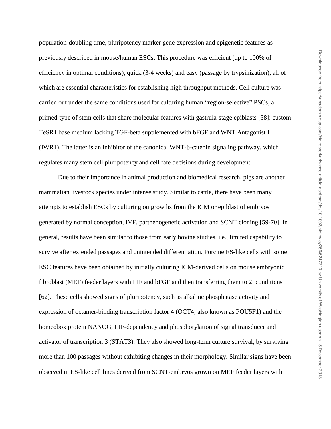population-doubling time, pluripotency marker gene expression and epigenetic features as previously described in mouse/human ESCs. This procedure was efficient (up to 100% of efficiency in optimal conditions), quick (3-4 weeks) and easy (passage by trypsinization), all of which are essential characteristics for establishing high throughput methods. Cell culture was carried out under the same conditions used for culturing human "region-selective" PSCs, a primed-type of stem cells that share molecular features with gastrula-stage epiblasts [58]: custom TeSR1 base medium lacking TGF-beta supplemented with bFGF and WNT Antagonist I (IWR1). The latter is an inhibitor of the canonical WNT-β-catenin signaling pathway, which regulates many stem cell pluripotency and cell fate decisions during development.

Due to their importance in animal production and biomedical research, pigs are another mammalian livestock species under intense study. Similar to cattle, there have been many attempts to establish ESCs by culturing outgrowths from the ICM or epiblast of embryos generated by normal conception, IVF, parthenogenetic activation and SCNT cloning [59-70]. In general, results have been similar to those from early bovine studies, i.e., limited capability to survive after extended passages and unintended differentiation. Porcine ES-like cells with some ESC features have been obtained by initially culturing ICM-derived cells on mouse embryonic fibroblast (MEF) feeder layers with LIF and bFGF and then transferring them to 2i conditions [62]. These cells showed signs of pluripotency, such as alkaline phosphatase activity and expression of octamer-binding transcription factor 4 (OCT4; also known as POU5F1) and the homeobox protein NANOG, LIF-dependency and phosphorylation of signal transducer and activator of transcription 3 (STAT3). They also showed long-term culture survival, by surviving more than 100 passages without exhibiting changes in their morphology. Similar signs have been observed in ES-like cell lines derived from SCNT-embryos grown on MEF feeder layers with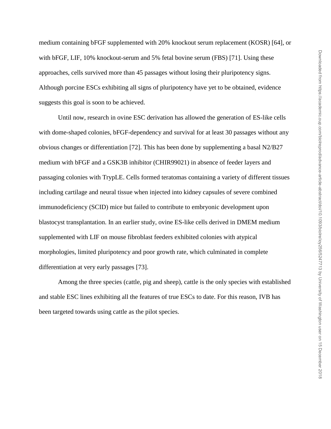medium containing bFGF supplemented with 20% knockout serum replacement (KOSR) [64], or with bFGF, LIF, 10% knockout-serum and 5% fetal bovine serum (FBS) [71]. Using these approaches, cells survived more than 45 passages without losing their pluripotency signs. Although porcine ESCs exhibiting all signs of pluripotency have yet to be obtained, evidence suggests this goal is soon to be achieved.

Until now, research in ovine ESC derivation has allowed the generation of ES-like cells with dome-shaped colonies, bFGF-dependency and survival for at least 30 passages without any obvious changes or differentiation [72]. This has been done by supplementing a basal N2/B27 medium with bFGF and a GSK3B inhibitor (CHIR99021) in absence of feeder layers and passaging colonies with TrypLE. Cells formed teratomas containing a variety of different tissues including cartilage and neural tissue when injected into kidney capsules of severe combined immunodeficiency (SCID) mice but failed to contribute to embryonic development upon blastocyst transplantation. In an earlier study, ovine ES-like cells derived in DMEM medium supplemented with LIF on mouse fibroblast feeders exhibited colonies with atypical morphologies, limited pluripotency and poor growth rate, which culminated in complete differentiation at very early passages [73].

Among the three species (cattle, pig and sheep), cattle is the only species with established and stable ESC lines exhibiting all the features of true ESCs to date. For this reason, IVB has been targeted towards using cattle as the pilot species.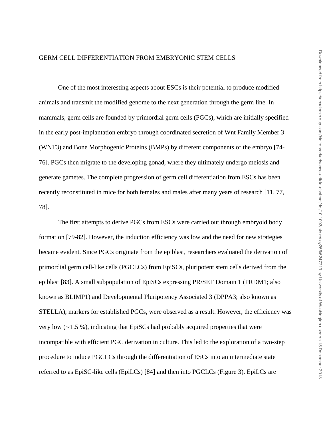#### GERM CELL DIFFERENTIATION FROM EMBRYONIC STEM CELLS

One of the most interesting aspects about ESCs is their potential to produce modified animals and transmit the modified genome to the next generation through the germ line. In mammals, germ cells are founded by primordial germ cells (PGCs), which are initially specified in the early post-implantation embryo through coordinated secretion of Wnt Family Member 3 (WNT3) and Bone Morphogenic Proteins (BMPs) by different components of the embryo [74- 76]. PGCs then migrate to the developing gonad, where they ultimately undergo meiosis and generate gametes. The complete progression of germ cell differentiation from ESCs has been recently reconstituted in mice for both females and males after many years of research [11, 77, 78].

The first attempts to derive PGCs from ESCs were carried out through embryoid body formation [79-82]. However, the induction efficiency was low and the need for new strategies became evident. Since PGCs originate from the epiblast, researchers evaluated the derivation of primordial germ cell-like cells (PGCLCs) from EpiSCs, pluripotent stem cells derived from the epiblast [83]. A small subpopulation of EpiSCs expressing PR/SET Domain 1 (PRDM1; also known as BLIMP1) and Developmental Pluripotency Associated 3 (DPPA3; also known as STELLA), markers for established PGCs, were observed as a result. However, the efficiency was very low (∼1.5 %), indicating that EpiSCs had probably acquired properties that were incompatible with efficient PGC derivation in culture. This led to the exploration of a two-step procedure to induce PGCLCs through the differentiation of ESCs into an intermediate state referred to as EpiSC-like cells (EpiLCs) [84] and then into PGCLCs (Figure 3). EpiLCs are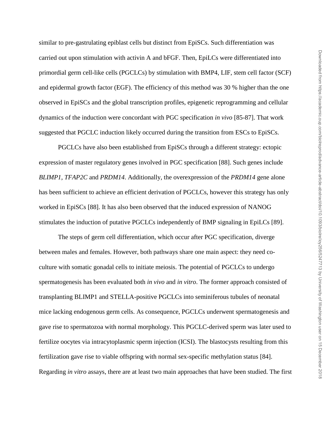similar to pre-gastrulating epiblast cells but distinct from EpiSCs. Such differentiation was carried out upon stimulation with activin A and bFGF. Then, EpiLCs were differentiated into primordial germ cell-like cells (PGCLCs) by stimulation with BMP4, LIF, stem cell factor (SCF) and epidermal growth factor (EGF). The efficiency of this method was 30 % higher than the one observed in EpiSCs and the global transcription profiles, epigenetic reprogramming and cellular dynamics of the induction were concordant with PGC specification *in vivo* [85-87]. That work suggested that PGCLC induction likely occurred during the transition from ESCs to EpiSCs.

PGCLCs have also been established from EpiSCs through a different strategy: ectopic expression of master regulatory genes involved in PGC specification [88]. Such genes include *BLIMP1*, *TFAP2C* and *PRDM14*. Additionally, the overexpression of the *PRDM14* gene alone has been sufficient to achieve an efficient derivation of PGCLCs, however this strategy has only worked in EpiSCs [88]. It has also been observed that the induced expression of NANOG stimulates the induction of putative PGCLCs independently of BMP signaling in EpiLCs [89].

The steps of germ cell differentiation, which occur after PGC specification, diverge between males and females. However, both pathways share one main aspect: they need coculture with somatic gonadal cells to initiate meiosis. The potential of PGCLCs to undergo spermatogenesis has been evaluated both *in vivo* and *in vitro*. The former approach consisted of transplanting BLIMP1 and STELLA-positive PGCLCs into seminiferous tubules of neonatal mice lacking endogenous germ cells. As consequence, PGCLCs underwent spermatogenesis and gave rise to spermatozoa with normal morphology. This PGCLC-derived sperm was later used to fertilize oocytes via intracytoplasmic sperm injection (ICSI). The blastocysts resulting from this fertilization gave rise to viable offspring with normal sex-specific methylation status [84]. Regarding *in vitro* assays, there are at least two main approaches that have been studied. The first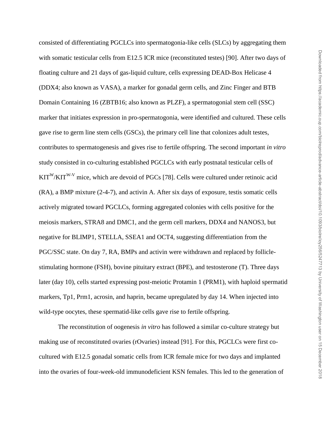consisted of differentiating PGCLCs into spermatogonia-like cells (SLCs) by aggregating them with somatic testicular cells from E12.5 ICR mice (reconstituted testes) [90]. After two days of floating culture and 21 days of gas-liquid culture, cells expressing DEAD-Box Helicase 4 (DDX4; also known as VASA), a marker for gonadal germ cells, and Zinc Finger and BTB Domain Containing 16 (ZBTB16; also known as PLZF), a spermatogonial stem cell (SSC) marker that initiates expression in pro-spermatogonia, were identified and cultured. These cells gave rise to germ line stem cells (GSCs), the primary cell line that colonizes adult testes, contributes to spermatogenesis and gives rise to fertile offspring. The second important *in vitro* study consisted in co-culturing established PGCLCs with early postnatal testicular cells of  $KIT^{W}/KIT^{W-V}$  mice, which are devoid of PGCs [78]. Cells were cultured under retinoic acid (RA), a BMP mixture (2-4-7), and activin A. After six days of exposure, testis somatic cells actively migrated toward PGCLCs, forming aggregated colonies with cells positive for the meiosis markers, STRA8 and DMC1, and the germ cell markers, DDX4 and NANOS3, but negative for BLIMP1, STELLA, SSEA1 and OCT4, suggesting differentiation from the PGC/SSC state. On day 7, RA, BMPs and activin were withdrawn and replaced by folliclestimulating hormone (FSH), bovine pituitary extract (BPE), and testosterone (T). Three days later (day 10), cells started expressing post-meiotic Protamin 1 (PRM1), with haploid spermatid markers, Tp1, Prm1, acrosin, and haprin, became upregulated by day 14. When injected into wild-type oocytes, these spermatid-like cells gave rise to fertile offspring.

The reconstitution of oogenesis *in vitro* has followed a similar co-culture strategy but making use of reconstituted ovaries (rOvaries) instead [91]. For this, PGCLCs were first cocultured with E12.5 gonadal somatic cells from ICR female mice for two days and implanted into the ovaries of four-week-old immunodeficient KSN females. This led to the generation of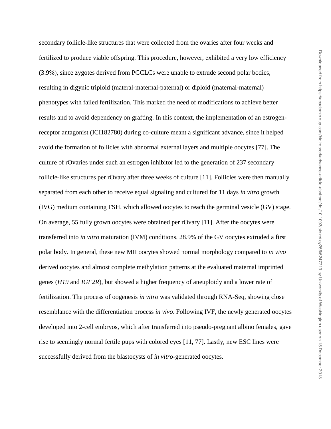Downloaded from https://academic.oup.com/biolreprod/advance-article-abstract/doi/10.1093/biolre/ioy256/5247713 by University of Washington user on 15 December 2018 Downloaded from https://academic.oup.com/biolreprod/advance-article-abstract/doi/10.1093/biolre/ioy256/5247713 by University of Washington user on 15 December 2018

secondary follicle-like structures that were collected from the ovaries after four weeks and fertilized to produce viable offspring. This procedure, however, exhibited a very low efficiency (3.9%), since zygotes derived from PGCLCs were unable to extrude second polar bodies, resulting in digynic triploid (materal-maternal-paternal) or diploid (maternal-maternal) phenotypes with failed fertilization. This marked the need of modifications to achieve better results and to avoid dependency on grafting. In this context, the implementation of an estrogenreceptor antagonist (ICI182780) during co-culture meant a significant advance, since it helped avoid the formation of follicles with abnormal external layers and multiple oocytes [77]. The culture of rOvaries under such an estrogen inhibitor led to the generation of 237 secondary follicle-like structures per rOvary after three weeks of culture [11]. Follicles were then manually separated from each other to receive equal signaling and cultured for 11 days *in vitro* growth (IVG) medium containing FSH, which allowed oocytes to reach the germinal vesicle (GV) stage. On average, 55 fully grown oocytes were obtained per rOvary [11]. After the oocytes were transferred into *in vitro* maturation (IVM) conditions, 28.9% of the GV oocytes extruded a first polar body. In general, these new MII oocytes showed normal morphology compared to *in vivo* derived oocytes and almost complete methylation patterns at the evaluated maternal imprinted genes (*H19* and *IGF2R*), but showed a higher frequency of aneuploidy and a lower rate of fertilization. The process of oogenesis *in vitro* was validated through RNA-Seq, showing close resemblance with the differentiation process *in vivo*. Following IVF, the newly generated oocytes developed into 2-cell embryos, which after transferred into pseudo-pregnant albino females, gave rise to seemingly normal fertile pups with colored eyes [11, 77]. Lastly, new ESC lines were successfully derived from the blastocysts of *in vitro*-generated oocytes.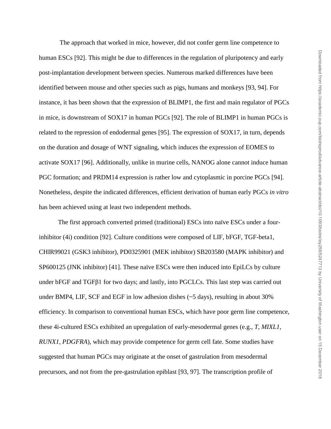The approach that worked in mice, however, did not confer germ line competence to human ESCs [92]. This might be due to differences in the regulation of pluripotency and early post-implantation development between species. Numerous marked differences have been identified between mouse and other species such as pigs, humans and monkeys [93, 94]. For instance, it has been shown that the expression of BLIMP1, the first and main regulator of PGCs in mice, is downstream of SOX17 in human PGCs [92]. The role of BLIMP1 in human PGCs is related to the repression of endodermal genes [95]. The expression of SOX17, in turn, depends on the duration and dosage of WNT signaling, which induces the expression of EOMES to activate SOX17 [96]. Additionally, unlike in murine cells, NANOG alone cannot induce human PGC formation; and PRDM14 expression is rather low and cytoplasmic in porcine PGCs [94]. Nonetheless, despite the indicated differences, efficient derivation of human early PGCs *in vitro* has been achieved using at least two independent methods.

The first approach converted primed (traditional) ESCs into naïve ESCs under a fourinhibitor (4i) condition [92]. Culture conditions were composed of LIF, bFGF, TGF-beta1, CHIR99021 (GSK3 inhibitor), PD0325901 (MEK inhibitor) SB203580 (MAPK inhibitor) and SP600125 (JNK inhibitor) [41]. These naïve ESCs were then induced into EpiLCs by culture under  $bFGF$  and  $TGF\beta1$  for two days; and lastly, into PGCLCs. This last step was carried out under BMP4, LIF, SCF and EGF in low adhesion dishes (~5 days), resulting in about 30% efficiency. In comparison to conventional human ESCs, which have poor germ line competence, these 4i-cultured ESCs exhibited an upregulation of early-mesodermal genes (e.g., *T, MIXL1, RUNX1, PDGFRA*), which may provide competence for germ cell fate. Some studies have suggested that human PGCs may originate at the onset of gastrulation from mesodermal precursors, and not from the pre-gastrulation epiblast [93, 97]. The transcription profile of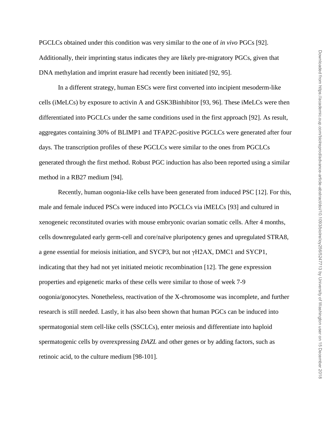PGCLCs obtained under this condition was very similar to the one of *in vivo* PGCs [92]. Additionally, their imprinting status indicates they are likely pre-migratory PGCs, given that DNA methylation and imprint erasure had recently been initiated [92, 95].

In a different strategy, human ESCs were first converted into incipient mesoderm-like cells (iMeLCs) by exposure to activin A and GSK3Binhibitor [93, 96]. These iMeLCs were then differentiated into PGCLCs under the same conditions used in the first approach [92]. As result, aggregates containing 30% of BLIMP1 and TFAP2C-positive PGCLCs were generated after four days. The transcription profiles of these PGCLCs were similar to the ones from PGCLCs generated through the first method. Robust PGC induction has also been reported using a similar method in a RB27 medium [94].

Recently, human oogonia-like cells have been generated from induced PSC [12]. For this, male and female induced PSCs were induced into PGCLCs via iMELCs [93] and cultured in xenogeneic reconstituted ovaries with mouse embryonic ovarian somatic cells. After 4 months, cells downregulated early germ-cell and core/naïve pluripotency genes and upregulated STRA8, a gene essential for meiosis initiation, and SYCP3, but not γH2AX, DMC1 and SYCP1, indicating that they had not yet initiated meiotic recombination [12]. The gene expression properties and epigenetic marks of these cells were similar to those of week 7-9 oogonia/gonocytes. Nonetheless, reactivation of the X-chromosome was incomplete, and further research is still needed. Lastly, it has also been shown that human PGCs can be induced into spermatogonial stem cell-like cells (SSCLCs), enter meiosis and differentiate into haploid spermatogenic cells by overexpressing *DAZL* and other genes or by adding factors, such as retinoic acid, to the culture medium [98-101].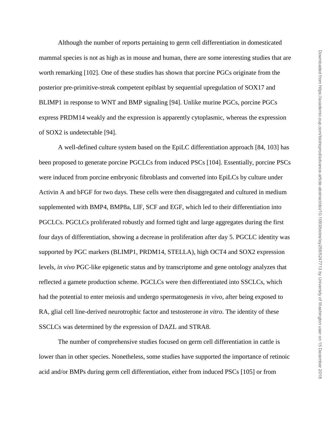Although the number of reports pertaining to germ cell differentiation in domesticated mammal species is not as high as in mouse and human, there are some interesting studies that are worth remarking [102]. One of these studies has shown that porcine PGCs originate from the posterior pre-primitive-streak competent epiblast by sequential upregulation of SOX17 and BLIMP1 in response to WNT and BMP signaling [94]. Unlike murine PGCs, porcine PGCs express PRDM14 weakly and the expression is apparently cytoplasmic, whereas the expression of SOX2 is undetectable [94].

A well-defined culture system based on the EpiLC differentiation approach [84, 103] has been proposed to generate porcine PGCLCs from induced PSCs [104]. Essentially, porcine PSCs were induced from porcine embryonic fibroblasts and converted into EpiLCs by culture under Activin A and bFGF for two days. These cells were then disaggregated and cultured in medium supplemented with BMP4, BMP8a, LIF, SCF and EGF, which led to their differentiation into PGCLCs. PGCLCs proliferated robustly and formed tight and large aggregates during the first four days of differentiation, showing a decrease in proliferation after day 5. PGCLC identity was supported by PGC markers (BLIMP1, PRDM14, STELLA), high OCT4 and SOX2 expression levels, *in vivo* PGC-like epigenetic status and by transcriptome and gene ontology analyzes that reflected a gamete production scheme. PGCLCs were then differentiated into SSCLCs, which had the potential to enter meiosis and undergo spermatogenesis *in vivo*, after being exposed to RA, glial cell line-derived neurotrophic factor and testosterone *in vitro*. The identity of these SSCLCs was determined by the expression of DAZL and STRA8.

The number of comprehensive studies focused on germ cell differentiation in cattle is lower than in other species. Nonetheless, some studies have supported the importance of retinoic acid and/or BMPs during germ cell differentiation, either from induced PSCs [105] or from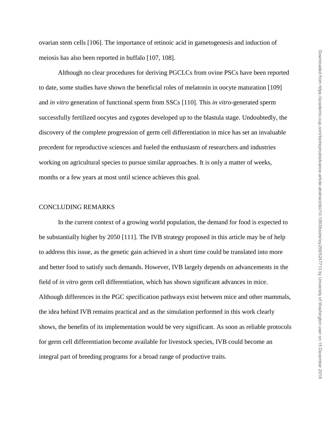ovarian stem cells [106]. The importance of retinoic acid in gametogenesis and induction of meiosis has also been reported in buffalo [107, 108].

Although no clear procedures for deriving PGCLCs from ovine PSCs have been reported to date, some studies have shown the beneficial roles of melatonin in oocyte maturation [109] and *in vitro* generation of functional sperm from SSCs [110]. This *in vitro*-generated sperm successfully fertilized oocytes and zygotes developed up to the blastula stage. Undoubtedly, the discovery of the complete progression of germ cell differentiation in mice has set an invaluable precedent for reproductive sciences and fueled the enthusiasm of researchers and industries working on agricultural species to pursue similar approaches. It is only a matter of weeks, months or a few years at most until science achieves this goal.

### CONCLUDING REMARKS

In the current context of a growing world population, the demand for food is expected to be substantially higher by 2050 [111]. The IVB strategy proposed in this article may be of help to address this issue, as the genetic gain achieved in a short time could be translated into more and better food to satisfy such demands. However, IVB largely depends on advancements in the field of *in vitro* germ cell differentiation, which has shown significant advances in mice. Although differences in the PGC specification pathways exist between mice and other mammals, the idea behind IVB remains practical and as the simulation performed in this work clearly shows, the benefits of its implementation would be very significant. As soon as reliable protocols for germ cell differentiation become available for livestock species, IVB could become an integral part of breeding programs for a broad range of productive traits.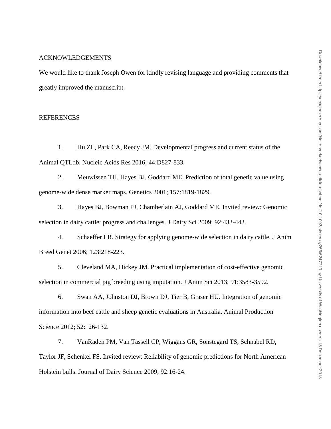#### ACKNOWLEDGEMENTS

We would like to thank Joseph Owen for kindly revising language and providing comments that greatly improved the manuscript.

### REFERENCES

1. Hu ZL, Park CA, Reecy JM. Developmental progress and current status of the Animal QTLdb. Nucleic Acids Res 2016; 44:D827-833.

2. Meuwissen TH, Hayes BJ, Goddard ME. Prediction of total genetic value using genome-wide dense marker maps. Genetics 2001; 157:1819-1829.

3. Hayes BJ, Bowman PJ, Chamberlain AJ, Goddard ME. Invited review: Genomic selection in dairy cattle: progress and challenges. J Dairy Sci 2009; 92:433-443.

4. Schaeffer LR. Strategy for applying genome-wide selection in dairy cattle. J Anim Breed Genet 2006; 123:218-223.

5. Cleveland MA, Hickey JM. Practical implementation of cost-effective genomic selection in commercial pig breeding using imputation. J Anim Sci 2013; 91:3583-3592.

6. Swan AA, Johnston DJ, Brown DJ, Tier B, Graser HU. Integration of genomic information into beef cattle and sheep genetic evaluations in Australia. Animal Production Science 2012; 52:126-132.

7. VanRaden PM, Van Tassell CP, Wiggans GR, Sonstegard TS, Schnabel RD, Taylor JF, Schenkel FS. Invited review: Reliability of genomic predictions for North American Holstein bulls. Journal of Dairy Science 2009; 92:16-24.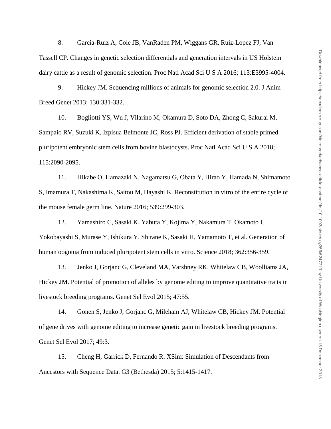8. Garcia-Ruiz A, Cole JB, VanRaden PM, Wiggans GR, Ruiz-Lopez FJ, Van Tassell CP. Changes in genetic selection differentials and generation intervals in US Holstein dairy cattle as a result of genomic selection. Proc Natl Acad Sci U S A 2016; 113:E3995-4004.

9. Hickey JM. Sequencing millions of animals for genomic selection 2.0. J Anim Breed Genet 2013; 130:331-332.

10. Bogliotti YS, Wu J, Vilarino M, Okamura D, Soto DA, Zhong C, Sakurai M, Sampaio RV, Suzuki K, Izpisua Belmonte JC, Ross PJ. Efficient derivation of stable primed pluripotent embryonic stem cells from bovine blastocysts. Proc Natl Acad Sci U S A 2018; 115:2090-2095.

11. Hikabe O, Hamazaki N, Nagamatsu G, Obata Y, Hirao Y, Hamada N, Shimamoto S, Imamura T, Nakashima K, Saitou M, Hayashi K. Reconstitution in vitro of the entire cycle of the mouse female germ line. Nature 2016; 539:299-303.

12. Yamashiro C, Sasaki K, Yabuta Y, Kojima Y, Nakamura T, Okamoto I, Yokobayashi S, Murase Y, Ishikura Y, Shirane K, Sasaki H, Yamamoto T, et al. Generation of human oogonia from induced pluripotent stem cells in vitro. Science 2018; 362:356-359.

13. Jenko J, Gorjanc G, Cleveland MA, Varshney RK, Whitelaw CB, Woolliams JA, Hickey JM. Potential of promotion of alleles by genome editing to improve quantitative traits in livestock breeding programs. Genet Sel Evol 2015; 47:55.

14. Gonen S, Jenko J, Gorjanc G, Mileham AJ, Whitelaw CB, Hickey JM. Potential of gene drives with genome editing to increase genetic gain in livestock breeding programs. Genet Sel Evol 2017; 49:3.

15. Cheng H, Garrick D, Fernando R. XSim: Simulation of Descendants from Ancestors with Sequence Data. G3 (Bethesda) 2015; 5:1415-1417.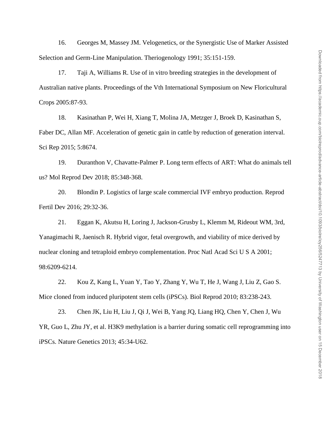16. Georges M, Massey JM. Velogenetics, or the Synergistic Use of Marker Assisted Selection and Germ-Line Manipulation. Theriogenology 1991; 35:151-159.

17. Taji A, Williams R. Use of in vitro breeding strategies in the development of Australian native plants. Proceedings of the Vth International Symposium on New Floricultural Crops 2005:87-93.

18. Kasinathan P, Wei H, Xiang T, Molina JA, Metzger J, Broek D, Kasinathan S, Faber DC, Allan MF. Acceleration of genetic gain in cattle by reduction of generation interval. Sci Rep 2015; 5:8674.

19. Duranthon V, Chavatte-Palmer P. Long term effects of ART: What do animals tell us? Mol Reprod Dev 2018; 85:348-368.

20. Blondin P. Logistics of large scale commercial IVF embryo production. Reprod Fertil Dev 2016; 29:32-36.

21. Eggan K, Akutsu H, Loring J, Jackson-Grusby L, Klemm M, Rideout WM, 3rd, Yanagimachi R, Jaenisch R. Hybrid vigor, fetal overgrowth, and viability of mice derived by nuclear cloning and tetraploid embryo complementation. Proc Natl Acad Sci U S A 2001; 98:6209-6214.

22. Kou Z, Kang L, Yuan Y, Tao Y, Zhang Y, Wu T, He J, Wang J, Liu Z, Gao S. Mice cloned from induced pluripotent stem cells (iPSCs). Biol Reprod 2010; 83:238-243.

23. Chen JK, Liu H, Liu J, Qi J, Wei B, Yang JQ, Liang HQ, Chen Y, Chen J, Wu YR, Guo L, Zhu JY, et al. H3K9 methylation is a barrier during somatic cell reprogramming into iPSCs. Nature Genetics 2013; 45:34-U62.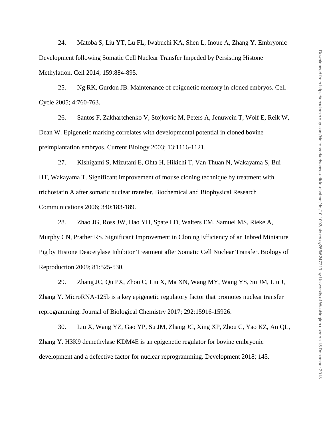24. Matoba S, Liu YT, Lu FL, Iwabuchi KA, Shen L, Inoue A, Zhang Y. Embryonic Development following Somatic Cell Nuclear Transfer Impeded by Persisting Histone Methylation. Cell 2014; 159:884-895.

25. Ng RK, Gurdon JB. Maintenance of epigenetic memory in cloned embryos. Cell Cycle 2005; 4:760-763.

26. Santos F, Zakhartchenko V, Stojkovic M, Peters A, Jenuwein T, Wolf E, Reik W, Dean W. Epigenetic marking correlates with developmental potential in cloned bovine preimplantation embryos. Current Biology 2003; 13:1116-1121.

27. Kishigami S, Mizutani E, Ohta H, Hikichi T, Van Thuan N, Wakayama S, Bui HT, Wakayama T. Significant improvement of mouse cloning technique by treatment with trichostatin A after somatic nuclear transfer. Biochemical and Biophysical Research Communications 2006; 340:183-189.

28. Zhao JG, Ross JW, Hao YH, Spate LD, Walters EM, Samuel MS, Rieke A, Murphy CN, Prather RS. Significant Improvement in Cloning Efficiency of an Inbred Miniature Pig by Histone Deacetylase Inhibitor Treatment after Somatic Cell Nuclear Transfer. Biology of Reproduction 2009; 81:525-530.

29. Zhang JC, Qu PX, Zhou C, Liu X, Ma XN, Wang MY, Wang YS, Su JM, Liu J, Zhang Y. MicroRNA-125b is a key epigenetic regulatory factor that promotes nuclear transfer reprogramming. Journal of Biological Chemistry 2017; 292:15916-15926.

30. Liu X, Wang YZ, Gao YP, Su JM, Zhang JC, Xing XP, Zhou C, Yao KZ, An QL, Zhang Y. H3K9 demethylase KDM4E is an epigenetic regulator for bovine embryonic development and a defective factor for nuclear reprogramming. Development 2018; 145.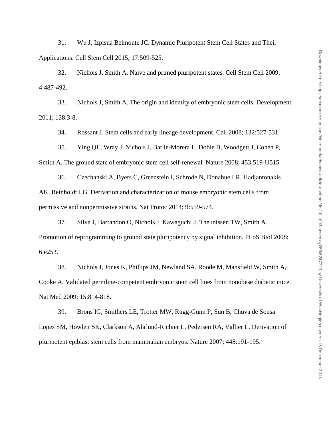31. Wu J, Izpisua Belmonte JC. Dynamic Pluripotent Stem Cell States and Their Applications. Cell Stem Cell 2015; 17:509-525.

32. Nichols J, Smith A. Naive and primed pluripotent states. Cell Stem Cell 2009; 4:487-492.

33. Nichols J, Smith A. The origin and identity of embryonic stem cells. Development 2011; 138:3-8.

34. Rossant J. Stem cells and early lineage development. Cell 2008; 132:527-531.

35. Ying QL, Wray J, Nichols J, Batlle-Morera L, Doble B, Woodgett J, Cohen P,

Smith A. The ground state of embryonic stem cell self-renewal. Nature 2008; 453:519-U515.

36. Czechanski A, Byers C, Greenstein I, Schrode N, Donahue LR, Hadjantonakis AK, Reinholdt LG. Derivation and characterization of mouse embryonic stem cells from permissive and nonpermissive strains. Nat Protoc 2014; 9:559-574.

37. Silva J, Barrandon O, Nichols J, Kawaguchi J, Theunissen TW, Smith A.

Promotion of reprogramming to ground state pluripotency by signal inhibition. PLoS Biol 2008; 6:e253.

38. Nichols J, Jones K, Phillips JM, Newland SA, Roode M, Mansfield W, Smith A, Cooke A. Validated germline-competent embryonic stem cell lines from nonobese diabetic mice. Nat Med 2009; 15:814-818.

39. Brons IG, Smithers LE, Trotter MW, Rugg-Gunn P, Sun B, Chuva de Sousa Lopes SM, Howlett SK, Clarkson A, Ahrlund-Richter L, Pedersen RA, Vallier L. Derivation of pluripotent epiblast stem cells from mammalian embryos. Nature 2007; 448:191-195.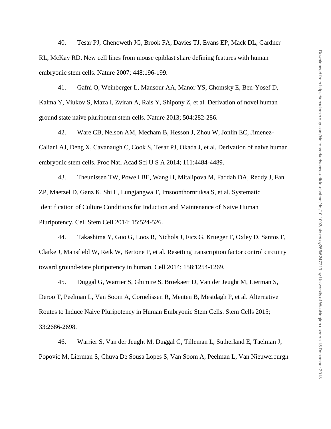40. Tesar PJ, Chenoweth JG, Brook FA, Davies TJ, Evans EP, Mack DL, Gardner RL, McKay RD. New cell lines from mouse epiblast share defining features with human embryonic stem cells. Nature 2007; 448:196-199.

41. Gafni O, Weinberger L, Mansour AA, Manor YS, Chomsky E, Ben-Yosef D, Kalma Y, Viukov S, Maza I, Zviran A, Rais Y, Shipony Z, et al. Derivation of novel human ground state naive pluripotent stem cells. Nature 2013; 504:282-286.

42. Ware CB, Nelson AM, Mecham B, Hesson J, Zhou W, Jonlin EC, Jimenez-Caliani AJ, Deng X, Cavanaugh C, Cook S, Tesar PJ, Okada J, et al. Derivation of naive human embryonic stem cells. Proc Natl Acad Sci U S A 2014; 111:4484-4489.

43. Theunissen TW, Powell BE, Wang H, Mitalipova M, Faddah DA, Reddy J, Fan ZP, Maetzel D, Ganz K, Shi L, Lungjangwa T, Imsoonthornruksa S, et al. Systematic Identification of Culture Conditions for Induction and Maintenance of Naive Human Pluripotency. Cell Stem Cell 2014; 15:524-526.

44. Takashima Y, Guo G, Loos R, Nichols J, Ficz G, Krueger F, Oxley D, Santos F, Clarke J, Mansfield W, Reik W, Bertone P, et al. Resetting transcription factor control circuitry toward ground-state pluripotency in human. Cell 2014; 158:1254-1269.

45. Duggal G, Warrier S, Ghimire S, Broekaert D, Van der Jeught M, Lierman S, Deroo T, Peelman L, Van Soom A, Cornelissen R, Menten B, Mestdagh P, et al. Alternative Routes to Induce Naive Pluripotency in Human Embryonic Stem Cells. Stem Cells 2015; 33:2686-2698.

46. Warrier S, Van der Jeught M, Duggal G, Tilleman L, Sutherland E, Taelman J, Popovic M, Lierman S, Chuva De Sousa Lopes S, Van Soom A, Peelman L, Van Nieuwerburgh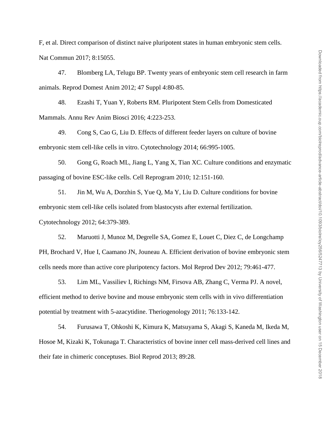F, et al. Direct comparison of distinct naive pluripotent states in human embryonic stem cells. Nat Commun 2017; 8:15055.

47. Blomberg LA, Telugu BP. Twenty years of embryonic stem cell research in farm animals. Reprod Domest Anim 2012; 47 Suppl 4:80-85.

48. Ezashi T, Yuan Y, Roberts RM. Pluripotent Stem Cells from Domesticated Mammals. Annu Rev Anim Biosci 2016; 4:223-253.

49. Cong S, Cao G, Liu D. Effects of different feeder layers on culture of bovine embryonic stem cell-like cells in vitro. Cytotechnology 2014; 66:995-1005.

50. Gong G, Roach ML, Jiang L, Yang X, Tian XC. Culture conditions and enzymatic passaging of bovine ESC-like cells. Cell Reprogram 2010; 12:151-160.

51. Jin M, Wu A, Dorzhin S, Yue Q, Ma Y, Liu D. Culture conditions for bovine embryonic stem cell-like cells isolated from blastocysts after external fertilization. Cytotechnology 2012; 64:379-389.

52. Maruotti J, Munoz M, Degrelle SA, Gomez E, Louet C, Diez C, de Longchamp PH, Brochard V, Hue I, Caamano JN, Jouneau A. Efficient derivation of bovine embryonic stem cells needs more than active core pluripotency factors. Mol Reprod Dev 2012; 79:461-477.

53. Lim ML, Vassiliev I, Richings NM, Firsova AB, Zhang C, Verma PJ. A novel, efficient method to derive bovine and mouse embryonic stem cells with in vivo differentiation potential by treatment with 5-azacytidine. Theriogenology 2011; 76:133-142.

54. Furusawa T, Ohkoshi K, Kimura K, Matsuyama S, Akagi S, Kaneda M, Ikeda M, Hosoe M, Kizaki K, Tokunaga T. Characteristics of bovine inner cell mass-derived cell lines and their fate in chimeric conceptuses. Biol Reprod 2013; 89:28.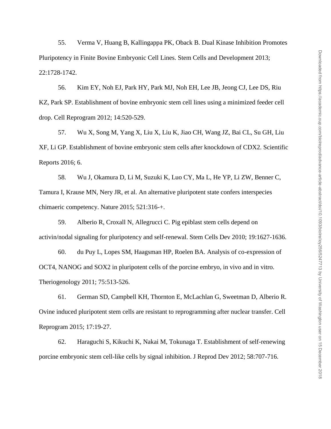55. Verma V, Huang B, Kallingappa PK, Oback B. Dual Kinase Inhibition Promotes Pluripotency in Finite Bovine Embryonic Cell Lines. Stem Cells and Development 2013; 22:1728-1742.

56. Kim EY, Noh EJ, Park HY, Park MJ, Noh EH, Lee JB, Jeong CJ, Lee DS, Riu KZ, Park SP. Establishment of bovine embryonic stem cell lines using a minimized feeder cell drop. Cell Reprogram 2012; 14:520-529.

57. Wu X, Song M, Yang X, Liu X, Liu K, Jiao CH, Wang JZ, Bai CL, Su GH, Liu XF, Li GP. Establishment of bovine embryonic stem cells after knockdown of CDX2. Scientific Reports 2016; 6.

58. Wu J, Okamura D, Li M, Suzuki K, Luo CY, Ma L, He YP, Li ZW, Benner C, Tamura I, Krause MN, Nery JR, et al. An alternative pluripotent state confers interspecies chimaeric competency. Nature 2015; 521:316-+.

59. Alberio R, Croxall N, Allegrucci C. Pig epiblast stem cells depend on activin/nodal signaling for pluripotency and self-renewal. Stem Cells Dev 2010; 19:1627-1636.

60. du Puy L, Lopes SM, Haagsman HP, Roelen BA. Analysis of co-expression of OCT4, NANOG and SOX2 in pluripotent cells of the porcine embryo, in vivo and in vitro. Theriogenology 2011; 75:513-526.

61. German SD, Campbell KH, Thornton E, McLachlan G, Sweetman D, Alberio R. Ovine induced pluripotent stem cells are resistant to reprogramming after nuclear transfer. Cell Reprogram 2015; 17:19-27.

62. Haraguchi S, Kikuchi K, Nakai M, Tokunaga T. Establishment of self-renewing porcine embryonic stem cell-like cells by signal inhibition. J Reprod Dev 2012; 58:707-716.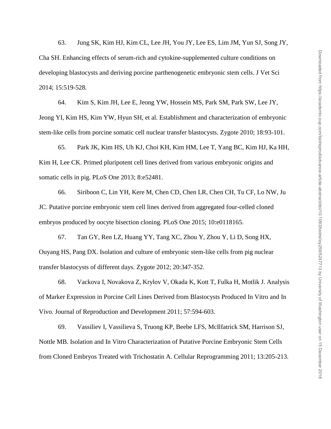63. Jung SK, Kim HJ, Kim CL, Lee JH, You JY, Lee ES, Lim JM, Yun SJ, Song JY, Cha SH. Enhancing effects of serum-rich and cytokine-supplemented culture conditions on developing blastocysts and deriving porcine parthenogenetic embryonic stem cells. J Vet Sci 2014; 15:519-528.

64. Kim S, Kim JH, Lee E, Jeong YW, Hossein MS, Park SM, Park SW, Lee JY, Jeong YI, Kim HS, Kim YW, Hyun SH, et al. Establishment and characterization of embryonic stem-like cells from porcine somatic cell nuclear transfer blastocysts. Zygote 2010; 18:93-101.

65. Park JK, Kim HS, Uh KJ, Choi KH, Kim HM, Lee T, Yang BC, Kim HJ, Ka HH, Kim H, Lee CK. Primed pluripotent cell lines derived from various embryonic origins and somatic cells in pig. PLoS One 2013; 8:e52481.

66. Siriboon C, Lin YH, Kere M, Chen CD, Chen LR, Chen CH, Tu CF, Lo NW, Ju JC. Putative porcine embryonic stem cell lines derived from aggregated four-celled cloned embryos produced by oocyte bisection cloning. PLoS One 2015; 10:e0118165.

67. Tan GY, Ren LZ, Huang YY, Tang XC, Zhou Y, Zhou Y, Li D, Song HX, Ouyang HS, Pang DX. Isolation and culture of embryonic stem-like cells from pig nuclear transfer blastocysts of different days. Zygote 2012; 20:347-352.

68. Vackova I, Novakova Z, Krylov V, Okada K, Kott T, Fulka H, Motlik J. Analysis of Marker Expression in Porcine Cell Lines Derived from Blastocysts Produced In Vitro and In Vivo. Journal of Reproduction and Development 2011; 57:594-603.

69. Vassiliev I, Vassilieva S, Truong KP, Beebe LFS, McIlfatrick SM, Harrison SJ, Nottle MB. Isolation and In Vitro Characterization of Putative Porcine Embryonic Stem Cells from Cloned Embryos Treated with Trichostatin A. Cellular Reprogramming 2011; 13:205-213.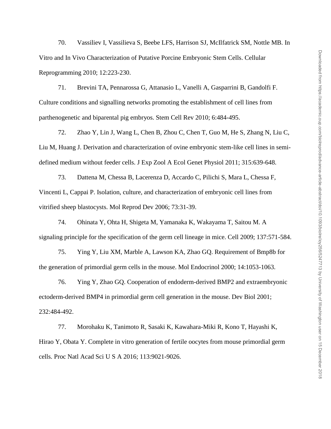70. Vassiliev I, Vassilieva S, Beebe LFS, Harrison SJ, McIlfatrick SM, Nottle MB. In Vitro and In Vivo Characterization of Putative Porcine Embryonic Stem Cells. Cellular Reprogramming 2010; 12:223-230.

71. Brevini TA, Pennarossa G, Attanasio L, Vanelli A, Gasparrini B, Gandolfi F. Culture conditions and signalling networks promoting the establishment of cell lines from parthenogenetic and biparental pig embryos. Stem Cell Rev 2010; 6:484-495.

72. Zhao Y, Lin J, Wang L, Chen B, Zhou C, Chen T, Guo M, He S, Zhang N, Liu C, Liu M, Huang J. Derivation and characterization of ovine embryonic stem-like cell lines in semidefined medium without feeder cells. J Exp Zool A Ecol Genet Physiol 2011; 315:639-648.

73. Dattena M, Chessa B, Lacerenza D, Accardo C, Pilichi S, Mara L, Chessa F, Vincenti L, Cappai P. Isolation, culture, and characterization of embryonic cell lines from vitrified sheep blastocysts. Mol Reprod Dev 2006; 73:31-39.

74. Ohinata Y, Ohta H, Shigeta M, Yamanaka K, Wakayama T, Saitou M. A signaling principle for the specification of the germ cell lineage in mice. Cell 2009; 137:571-584.

75. Ying Y, Liu XM, Marble A, Lawson KA, Zhao GQ. Requirement of Bmp8b for the generation of primordial germ cells in the mouse. Mol Endocrinol 2000; 14:1053-1063.

76. Ying Y, Zhao GQ. Cooperation of endoderm-derived BMP2 and extraembryonic ectoderm-derived BMP4 in primordial germ cell generation in the mouse. Dev Biol 2001; 232:484-492.

77. Morohaku K, Tanimoto R, Sasaki K, Kawahara-Miki R, Kono T, Hayashi K, Hirao Y, Obata Y. Complete in vitro generation of fertile oocytes from mouse primordial germ cells. Proc Natl Acad Sci U S A 2016; 113:9021-9026.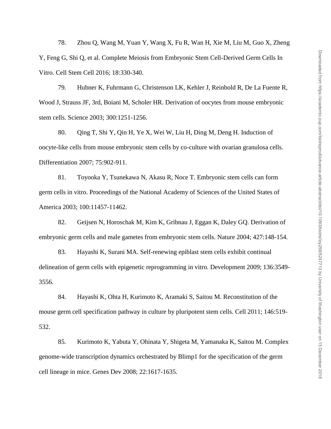78. Zhou Q, Wang M, Yuan Y, Wang X, Fu R, Wan H, Xie M, Liu M, Guo X, Zheng Y, Feng G, Shi Q, et al. Complete Meiosis from Embryonic Stem Cell-Derived Germ Cells In Vitro. Cell Stem Cell 2016; 18:330-340.

79. Hubner K, Fuhrmann G, Christenson LK, Kehler J, Reinbold R, De La Fuente R, Wood J, Strauss JF, 3rd, Boiani M, Scholer HR. Derivation of oocytes from mouse embryonic stem cells. Science 2003; 300:1251-1256.

80. Qing T, Shi Y, Qin H, Ye X, Wei W, Liu H, Ding M, Deng H. Induction of oocyte-like cells from mouse embryonic stem cells by co-culture with ovarian granulosa cells. Differentiation 2007; 75:902-911.

81. Toyooka Y, Tsunekawa N, Akasu R, Noce T. Embryonic stem cells can form germ cells in vitro. Proceedings of the National Academy of Sciences of the United States of America 2003; 100:11457-11462.

82. Geijsen N, Horoschak M, Kim K, Gribnau J, Eggan K, Daley GQ. Derivation of embryonic germ cells and male gametes from embryonic stem cells. Nature 2004; 427:148-154.

83. Hayashi K, Surani MA. Self-renewing epiblast stem cells exhibit continual delineation of germ cells with epigenetic reprogramming in vitro. Development 2009; 136:3549- 3556.

84. Hayashi K, Ohta H, Kurimoto K, Aramaki S, Saitou M. Reconstitution of the mouse germ cell specification pathway in culture by pluripotent stem cells. Cell 2011; 146:519- 532.

85. Kurimoto K, Yabuta Y, Ohinata Y, Shigeta M, Yamanaka K, Saitou M. Complex genome-wide transcription dynamics orchestrated by Blimp1 for the specification of the germ cell lineage in mice. Genes Dev 2008; 22:1617-1635.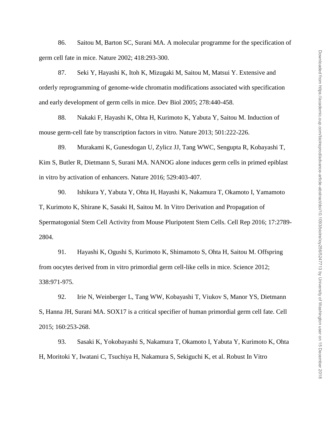86. Saitou M, Barton SC, Surani MA. A molecular programme for the specification of germ cell fate in mice. Nature 2002; 418:293-300.

87. Seki Y, Hayashi K, Itoh K, Mizugaki M, Saitou M, Matsui Y. Extensive and orderly reprogramming of genome-wide chromatin modifications associated with specification and early development of germ cells in mice. Dev Biol 2005; 278:440-458.

88. Nakaki F, Hayashi K, Ohta H, Kurimoto K, Yabuta Y, Saitou M. Induction of mouse germ-cell fate by transcription factors in vitro. Nature 2013; 501:222-226.

89. Murakami K, Gunesdogan U, Zylicz JJ, Tang WWC, Sengupta R, Kobayashi T, Kim S, Butler R, Dietmann S, Surani MA. NANOG alone induces germ cells in primed epiblast in vitro by activation of enhancers. Nature 2016; 529:403-407.

90. Ishikura Y, Yabuta Y, Ohta H, Hayashi K, Nakamura T, Okamoto I, Yamamoto T, Kurimoto K, Shirane K, Sasaki H, Saitou M. In Vitro Derivation and Propagation of Spermatogonial Stem Cell Activity from Mouse Pluripotent Stem Cells. Cell Rep 2016; 17:2789- 2804.

91. Hayashi K, Ogushi S, Kurimoto K, Shimamoto S, Ohta H, Saitou M. Offspring from oocytes derived from in vitro primordial germ cell-like cells in mice. Science 2012; 338:971-975.

92. Irie N, Weinberger L, Tang WW, Kobayashi T, Viukov S, Manor YS, Dietmann S, Hanna JH, Surani MA. SOX17 is a critical specifier of human primordial germ cell fate. Cell 2015; 160:253-268.

93. Sasaki K, Yokobayashi S, Nakamura T, Okamoto I, Yabuta Y, Kurimoto K, Ohta H, Moritoki Y, Iwatani C, Tsuchiya H, Nakamura S, Sekiguchi K, et al. Robust In Vitro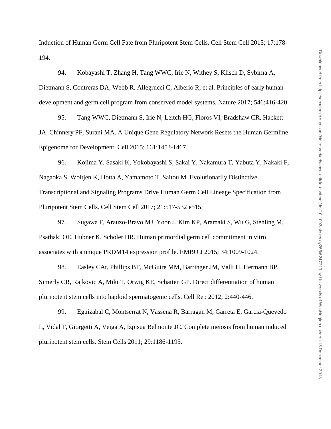Induction of Human Germ Cell Fate from Pluripotent Stem Cells. Cell Stem Cell 2015; 17:178- 194.

94. Kobayashi T, Zhang H, Tang WWC, Irie N, Withey S, Klisch D, Sybirna A, Dietmann S, Contreras DA, Webb R, Allegrucci C, Alberio R, et al. Principles of early human development and germ cell program from conserved model systems. Nature 2017; 546:416-420.

95. Tang WWC, Dietmann S, Irie N, Leitch HG, Floros VI, Bradshaw CR, Hackett JA, Chinnery PF, Surani MA. A Unique Gene Regulatory Network Resets the Human Germline Epigenome for Development. Cell 2015; 161:1453-1467.

96. Kojima Y, Sasaki K, Yokobayashi S, Sakai Y, Nakamura T, Yabuta Y, Nakaki F, Nagaoka S, Woltjen K, Hotta A, Yamamoto T, Saitou M. Evolutionarily Distinctive Transcriptional and Signaling Programs Drive Human Germ Cell Lineage Specification from Pluripotent Stem Cells. Cell Stem Cell 2017; 21:517-532 e515.

97. Sugawa F, Arauzo-Bravo MJ, Yoon J, Kim KP, Aramaki S, Wu G, Stehling M, Psathaki OE, Hubner K, Scholer HR. Human primordial germ cell commitment in vitro associates with a unique PRDM14 expression profile. EMBO J 2015; 34:1009-1024.

98. Easley CAt, Phillips BT, McGuire MM, Barringer JM, Valli H, Hermann BP, Simerly CR, Rajkovic A, Miki T, Orwig KE, Schatten GP. Direct differentiation of human pluripotent stem cells into haploid spermatogenic cells. Cell Rep 2012; 2:440-446.

99. Eguizabal C, Montserrat N, Vassena R, Barragan M, Garreta E, Garcia-Quevedo L, Vidal F, Giorgetti A, Veiga A, Izpisua Belmonte JC. Complete meiosis from human induced pluripotent stem cells. Stem Cells 2011; 29:1186-1195.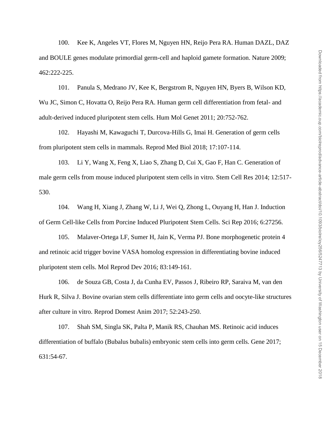100. Kee K, Angeles VT, Flores M, Nguyen HN, Reijo Pera RA. Human DAZL, DAZ and BOULE genes modulate primordial germ-cell and haploid gamete formation. Nature 2009; 462:222-225.

101. Panula S, Medrano JV, Kee K, Bergstrom R, Nguyen HN, Byers B, Wilson KD, Wu JC, Simon C, Hovatta O, Reijo Pera RA. Human germ cell differentiation from fetal- and adult-derived induced pluripotent stem cells. Hum Mol Genet 2011; 20:752-762.

102. Hayashi M, Kawaguchi T, Durcova-Hills G, Imai H. Generation of germ cells from pluripotent stem cells in mammals. Reprod Med Biol 2018; 17:107-114.

103. Li Y, Wang X, Feng X, Liao S, Zhang D, Cui X, Gao F, Han C. Generation of male germ cells from mouse induced pluripotent stem cells in vitro. Stem Cell Res 2014; 12:517- 530.

104. Wang H, Xiang J, Zhang W, Li J, Wei Q, Zhong L, Ouyang H, Han J. Induction of Germ Cell-like Cells from Porcine Induced Pluripotent Stem Cells. Sci Rep 2016; 6:27256.

105. Malaver-Ortega LF, Sumer H, Jain K, Verma PJ. Bone morphogenetic protein 4 and retinoic acid trigger bovine VASA homolog expression in differentiating bovine induced pluripotent stem cells. Mol Reprod Dev 2016; 83:149-161.

106. de Souza GB, Costa J, da Cunha EV, Passos J, Ribeiro RP, Saraiva M, van den Hurk R, Silva J. Bovine ovarian stem cells differentiate into germ cells and oocyte-like structures after culture in vitro. Reprod Domest Anim 2017; 52:243-250.

107. Shah SM, Singla SK, Palta P, Manik RS, Chauhan MS. Retinoic acid induces differentiation of buffalo (Bubalus bubalis) embryonic stem cells into germ cells. Gene 2017; 631:54-67.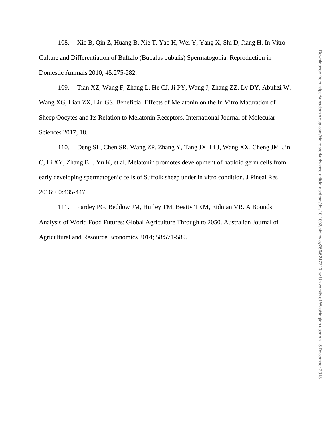108. Xie B, Qin Z, Huang B, Xie T, Yao H, Wei Y, Yang X, Shi D, Jiang H. In Vitro Culture and Differentiation of Buffalo (Bubalus bubalis) Spermatogonia. Reproduction in Domestic Animals 2010; 45:275-282.

109. Tian XZ, Wang F, Zhang L, He CJ, Ji PY, Wang J, Zhang ZZ, Lv DY, Abulizi W, Wang XG, Lian ZX, Liu GS. Beneficial Effects of Melatonin on the In Vitro Maturation of Sheep Oocytes and Its Relation to Melatonin Receptors. International Journal of Molecular Sciences 2017; 18.

110. Deng SL, Chen SR, Wang ZP, Zhang Y, Tang JX, Li J, Wang XX, Cheng JM, Jin C, Li XY, Zhang BL, Yu K, et al. Melatonin promotes development of haploid germ cells from early developing spermatogenic cells of Suffolk sheep under in vitro condition. J Pineal Res 2016; 60:435-447.

111. Pardey PG, Beddow JM, Hurley TM, Beatty TKM, Eidman VR. A Bounds Analysis of World Food Futures: Global Agriculture Through to 2050. Australian Journal of Agricultural and Resource Economics 2014; 58:571-589.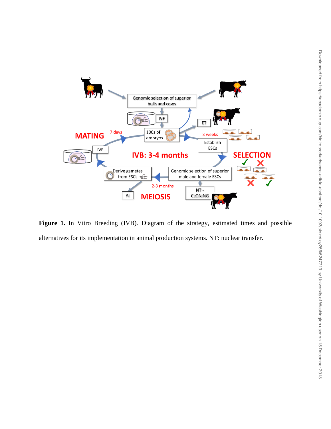

Figure 1. In Vitro Breeding (IVB). Diagram of the strategy, estimated times and possible alternatives for its implementation in animal production systems. NT: nuclear transfer.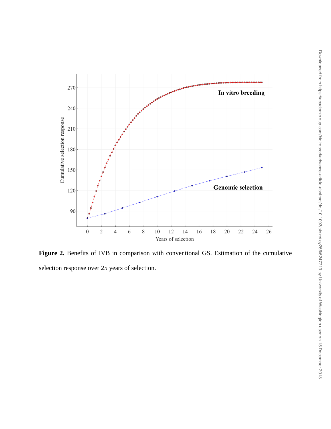

Figure 2. Benefits of IVB in comparison with conventional GS. Estimation of the cumulative selection response over 25 years of selection.